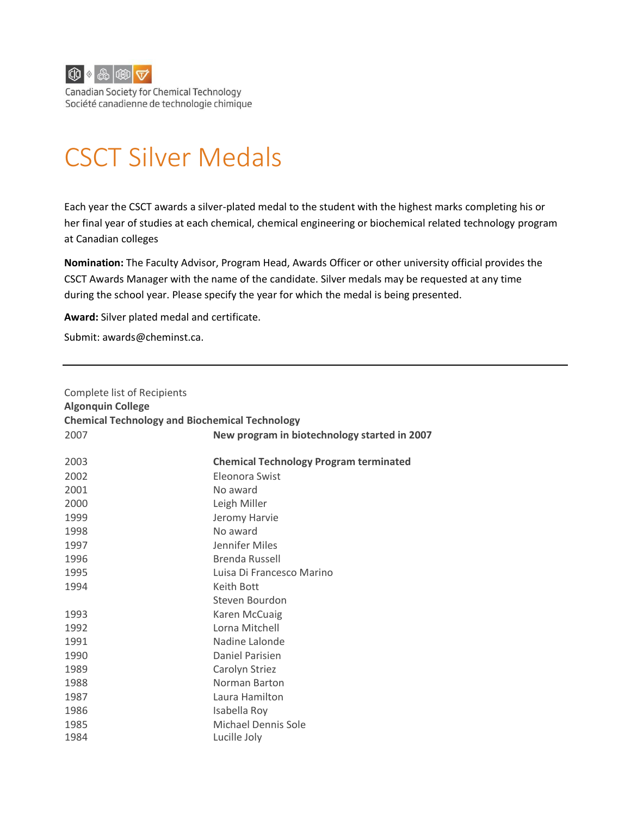

Canadian Society for Chemical Technology Société canadienne de technologie chimique

# CSCT Silver Medals

Each year the CSCT awards a silver-plated medal to the student with the highest marks completing his or her final year of studies at each chemical, chemical engineering or biochemical related technology program at Canadian colleges

**Nomination:** The Faculty Advisor, Program Head, Awards Officer or other university official provides the CSCT Awards Manager with the name of the candidate. Silver medals may be requested at any time during the school year. Please specify the year for which the medal is being presented.

**Award:** Silver plated medal and certificate.

Submit: [awards@cheminst.ca.](mailto:awards@cheminst.ca)

| Complete list of Recipients<br><b>Algonquin College</b><br><b>Chemical Technology and Biochemical Technology</b> |                                               |
|------------------------------------------------------------------------------------------------------------------|-----------------------------------------------|
| 2007                                                                                                             | New program in biotechnology started in 2007  |
| 2003                                                                                                             | <b>Chemical Technology Program terminated</b> |
| 2002                                                                                                             | Eleonora Swist                                |
| 2001                                                                                                             | No award                                      |
| 2000                                                                                                             | Leigh Miller                                  |
| 1999                                                                                                             | Jeromy Harvie                                 |
| 1998                                                                                                             | No award                                      |
| 1997                                                                                                             | Jennifer Miles                                |
| 1996                                                                                                             | <b>Brenda Russell</b>                         |
| 1995                                                                                                             | Luisa Di Francesco Marino                     |
| 1994                                                                                                             | Keith Bott                                    |
|                                                                                                                  | Steven Bourdon                                |
| 1993                                                                                                             | Karen McCuaig                                 |
| 1992                                                                                                             | Lorna Mitchell                                |
| 1991                                                                                                             | Nadine Lalonde                                |
| 1990                                                                                                             | Daniel Parisien                               |
| 1989                                                                                                             | Carolyn Striez                                |
| 1988                                                                                                             | Norman Barton                                 |
| 1987                                                                                                             | Laura Hamilton                                |
| 1986                                                                                                             | Isabella Roy                                  |
| 1985                                                                                                             | <b>Michael Dennis Sole</b>                    |
| 1984                                                                                                             | Lucille Joly                                  |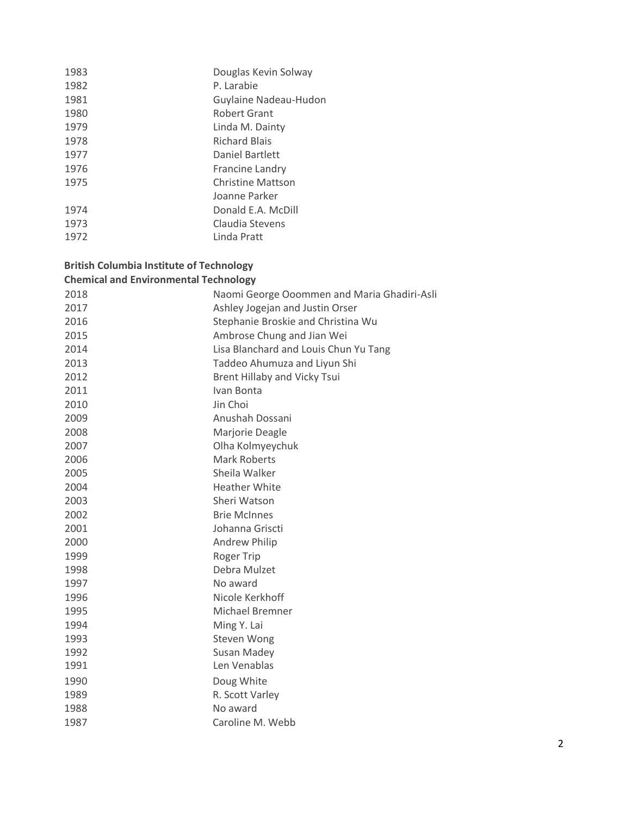| 1983 | Douglas Kevin Solway     |
|------|--------------------------|
| 1982 | P. Larabie               |
| 1981 | Guylaine Nadeau-Hudon    |
| 1980 | Robert Grant             |
| 1979 | Linda M. Dainty          |
| 1978 | <b>Richard Blais</b>     |
| 1977 | Daniel Bartlett          |
| 1976 | Francine Landry          |
| 1975 | <b>Christine Mattson</b> |
|      | Joanne Parker            |
| 1974 | Donald E.A. McDill       |
| 1973 | Claudia Stevens          |
| 1972 | Linda Pratt              |
|      |                          |

# **British Columbia Institute of Technology Chemical and Environmental Technology**

| 2018 | Naomi George Ooommen and Maria Ghadiri-Asli |
|------|---------------------------------------------|
| 2017 | Ashley Jogejan and Justin Orser             |
| 2016 | Stephanie Broskie and Christina Wu          |
| 2015 | Ambrose Chung and Jian Wei                  |
| 2014 | Lisa Blanchard and Louis Chun Yu Tang       |
| 2013 | Taddeo Ahumuza and Liyun Shi                |
| 2012 | <b>Brent Hillaby and Vicky Tsui</b>         |
| 2011 | Ivan Bonta                                  |
| 2010 | Jin Choi                                    |
| 2009 | Anushah Dossani                             |
| 2008 | Marjorie Deagle                             |
| 2007 | Olha Kolmyeychuk                            |
| 2006 | <b>Mark Roberts</b>                         |
| 2005 | Sheila Walker                               |
| 2004 | <b>Heather White</b>                        |
| 2003 | Sheri Watson                                |
| 2002 | <b>Brie McInnes</b>                         |
| 2001 | Johanna Griscti                             |
| 2000 | <b>Andrew Philip</b>                        |
| 1999 | <b>Roger Trip</b>                           |
| 1998 | Debra Mulzet                                |
| 1997 | No award                                    |
| 1996 | Nicole Kerkhoff                             |
| 1995 | Michael Bremner                             |
| 1994 | Ming Y. Lai                                 |
| 1993 | Steven Wong                                 |
| 1992 | <b>Susan Madey</b>                          |
| 1991 | Len Venablas                                |
| 1990 | Doug White                                  |
| 1989 | R. Scott Varley                             |
| 1988 | No award                                    |
| 1987 | Caroline M. Webb                            |
|      |                                             |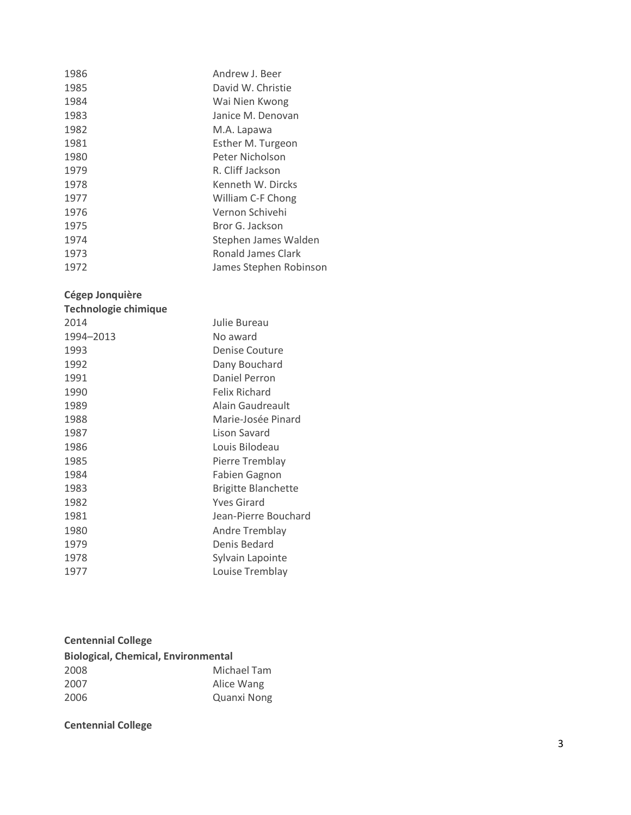| 1986 | Andrew J. Beer         |
|------|------------------------|
| 1985 | David W. Christie      |
| 1984 | Wai Nien Kwong         |
| 1983 | Janice M. Denovan      |
| 1982 | M.A. Lapawa            |
| 1981 | Esther M. Turgeon      |
| 1980 | Peter Nicholson        |
| 1979 | R. Cliff Jackson       |
| 1978 | Kenneth W. Dircks      |
| 1977 | William C-F Chong      |
| 1976 | Vernon Schivehi        |
| 1975 | Bror G. Jackson        |
| 1974 | Stephen James Walden   |
| 1973 | Ronald James Clark     |
| 1972 | James Stephen Robinson |

#### **Cégep Jonquière**

| Technologie chimique |                            |
|----------------------|----------------------------|
| 2014                 | Julie Bureau               |
| 1994-2013            | No award                   |
| 1993                 | Denise Couture             |
| 1992                 | Dany Bouchard              |
| 1991                 | Daniel Perron              |
| 1990                 | Felix Richard              |
| 1989                 | Alain Gaudreault           |
| 1988                 | Marie-Josée Pinard         |
| 1987                 | Lison Savard               |
| 1986                 | Louis Bilodeau             |
| 1985                 | Pierre Tremblay            |
| 1984                 | <b>Fabien Gagnon</b>       |
| 1983                 | <b>Brigitte Blanchette</b> |
| 1982                 | <b>Yves Girard</b>         |
| 1981                 | Jean-Pierre Bouchard       |
| 1980                 | Andre Tremblay             |
| 1979                 | Denis Bedard               |
| 1978                 | Sylvain Lapointe           |
| 1977                 | Louise Tremblay            |
|                      |                            |

| <b>Centennial College</b>                  |                    |
|--------------------------------------------|--------------------|
| <b>Biological, Chemical, Environmental</b> |                    |
| 2008                                       | Michael Tam        |
| 2007                                       | Alice Wang         |
| 2006                                       | <b>Quanxi Nong</b> |

# **Centennial College**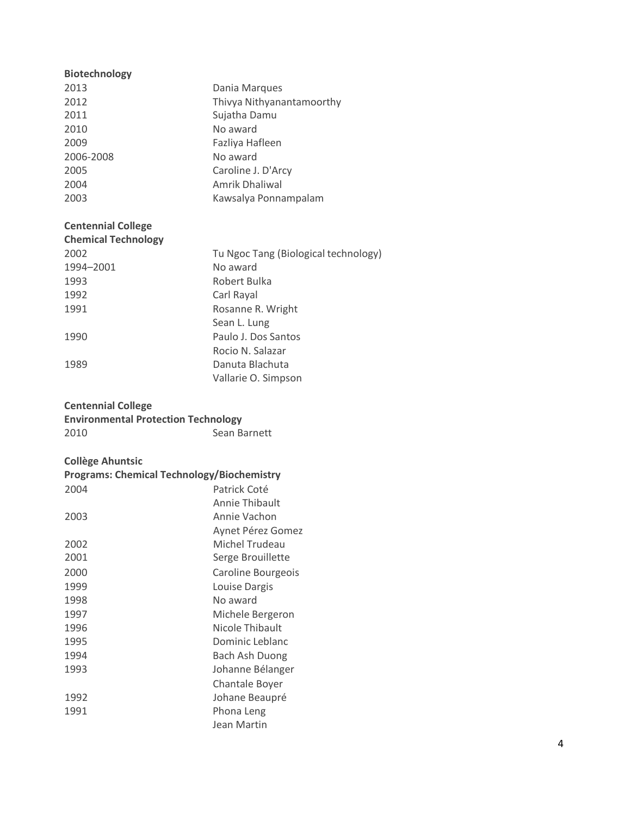| <b>Biotechnology</b>                              |                                      |
|---------------------------------------------------|--------------------------------------|
| 2013                                              | Dania Marques                        |
| 2012                                              | Thivya Nithyanantamoorthy            |
| 2011                                              | Sujatha Damu                         |
| 2010                                              | No award                             |
| 2009                                              | Fazliya Hafleen                      |
| 2006-2008                                         | No award                             |
| 2005                                              | Caroline J. D'Arcy                   |
| 2004                                              | <b>Amrik Dhaliwal</b>                |
| 2003                                              | Kawsalya Ponnampalam                 |
| <b>Centennial College</b>                         |                                      |
| <b>Chemical Technology</b>                        |                                      |
| 2002                                              | Tu Ngoc Tang (Biological technology) |
| 1994-2001                                         | No award                             |
| 1993                                              | Robert Bulka                         |
| 1992                                              | Carl Rayal                           |
| 1991                                              | Rosanne R. Wright                    |
|                                                   | Sean L. Lung                         |
| 1990                                              | Paulo J. Dos Santos                  |
|                                                   | Rocio N. Salazar                     |
| 1989                                              | Danuta Blachuta                      |
|                                                   | Vallarie O. Simpson                  |
|                                                   |                                      |
| <b>Centennial College</b>                         |                                      |
| <b>Environmental Protection Technology</b>        |                                      |
| 2010                                              | Sean Barnett                         |
|                                                   |                                      |
| <b>Collège Ahuntsic</b>                           |                                      |
| <b>Programs: Chemical Technology/Biochemistry</b> |                                      |
| 2004                                              | Patrick Coté                         |
|                                                   | Annie Thibault                       |
| 2003                                              | Annie Vachon                         |
|                                                   | Aynet Pérez Gomez                    |
| 2002                                              | Michel Trudeau                       |
| 2001                                              | Serge Brouillette                    |
| 2000                                              | Caroline Bourgeois                   |
| 1999                                              | Louise Dargis                        |
| 1998                                              | No award                             |
| 1997                                              | Michele Bergeron                     |
| 1996                                              | Nicole Thibault                      |
| 1995                                              | Dominic Leblanc                      |
| 1994                                              | <b>Bach Ash Duong</b>                |
| 1993                                              | Johanne Bélanger                     |
|                                                   | Chantale Boyer                       |
| 1992                                              | Johane Beaupré                       |
| 1991                                              | Phona Leng                           |
|                                                   | Jean Martin                          |
|                                                   |                                      |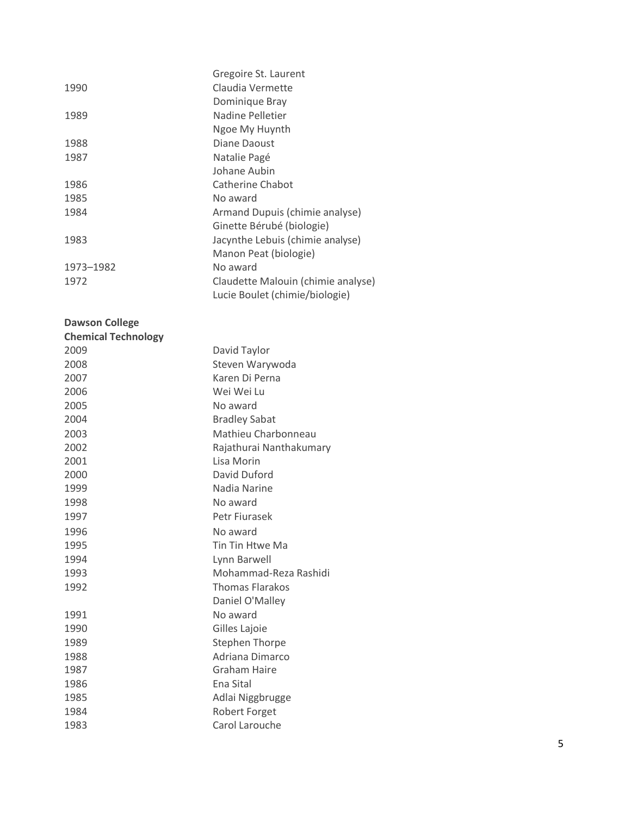| 1990              | Gregoire St. Laurent<br>Claudia Vermette<br>Dominique Bray                       |
|-------------------|----------------------------------------------------------------------------------|
| 1989              | Nadine Pelletier<br>Ngoe My Huynth                                               |
| 1988              | Diane Daoust                                                                     |
| 1987              | Natalie Pagé                                                                     |
|                   | Johane Aubin                                                                     |
| 1986              | Catherine Chabot                                                                 |
| 1985              | No award                                                                         |
| 1984              | Armand Dupuis (chimie analyse)<br>Ginette Bérubé (biologie)                      |
| 1983              | Jacynthe Lebuis (chimie analyse)<br>Manon Peat (biologie)                        |
| 1973-1982<br>1972 | No award<br>Claudette Malouin (chimie analyse)<br>Lucie Boulet (chimie/biologie) |

#### **Dawson College**

| <b>Chemical Technology</b> |                         |
|----------------------------|-------------------------|
| 2009                       | David Taylor            |
| 2008                       | Steven Warywoda         |
| 2007                       | Karen Di Perna          |
| 2006                       | Wei Wei Lu              |
| 2005                       | No award                |
| 2004                       | <b>Bradley Sabat</b>    |
| 2003                       | Mathieu Charbonneau     |
| 2002                       | Rajathurai Nanthakumary |
| 2001                       | Lisa Morin              |
| 2000                       | David Duford            |
| 1999                       | Nadia Narine            |
| 1998                       | No award                |
| 1997                       | Petr Fiurasek           |
| 1996                       | No award                |
| 1995                       | Tin Tin Htwe Ma         |
| 1994                       | Lynn Barwell            |
| 1993                       | Mohammad-Reza Rashidi   |
| 1992                       | <b>Thomas Flarakos</b>  |
|                            | Daniel O'Malley         |
| 1991                       | No award                |
| 1990                       | Gilles Lajoie           |
| 1989                       | <b>Stephen Thorpe</b>   |
| 1988                       | Adriana Dimarco         |
| 1987                       | Graham Haire            |
| 1986                       | Ena Sital               |
| 1985                       | Adlai Niggbrugge        |
| 1984                       | <b>Robert Forget</b>    |
| 1983                       | Carol Larouche          |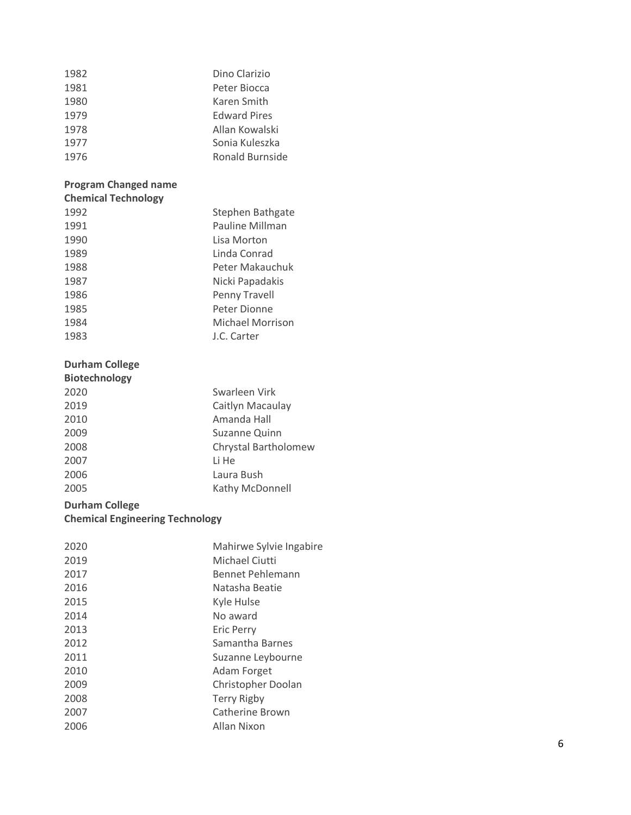| 1982 | Dino Clarizio       |
|------|---------------------|
| 1981 | Peter Biocca        |
| 1980 | Karen Smith         |
| 1979 | <b>Edward Pires</b> |
| 1978 | Allan Kowalski      |
| 1977 | Sonia Kuleszka      |
| 1976 | Ronald Burnside     |

#### **Program Changed name Chemical Technology**

| Stephen Bathgate       |
|------------------------|
| <b>Pauline Millman</b> |
| Lisa Morton            |
| Linda Conrad           |
| Peter Makauchuk        |
| Nicki Papadakis        |
| Penny Travell          |
| Peter Dionne           |
| Michael Morrison       |
| J.C. Carter            |
|                        |

# **Durham College**

| <b>Biotechnology</b> |                      |
|----------------------|----------------------|
| 2020                 | Swarleen Virk        |
| 2019                 | Caitlyn Macaulay     |
| 2010                 | Amanda Hall          |
| 2009                 | Suzanne Quinn        |
| 2008                 | Chrystal Bartholomew |
| 2007                 | Li He                |
| 2006                 | Laura Bush           |
| 2005                 | Kathy McDonnell      |

# **Durham College**

# **Chemical Engineering Technology**

| 2020 | Mahirwe Sylvie Ingabire |
|------|-------------------------|
| 2019 | Michael Ciutti          |
| 2017 | Bennet Pehlemann        |
| 2016 | Natasha Beatie          |
| 2015 | Kyle Hulse              |
| 2014 | No award                |
| 2013 | <b>Eric Perry</b>       |
| 2012 | Samantha Barnes         |
| 2011 | Suzanne Leybourne       |
| 2010 | Adam Forget             |
| 2009 | Christopher Doolan      |
| 2008 | <b>Terry Rigby</b>      |
| 2007 | <b>Catherine Brown</b>  |
| 2006 | Allan Nixon             |
|      |                         |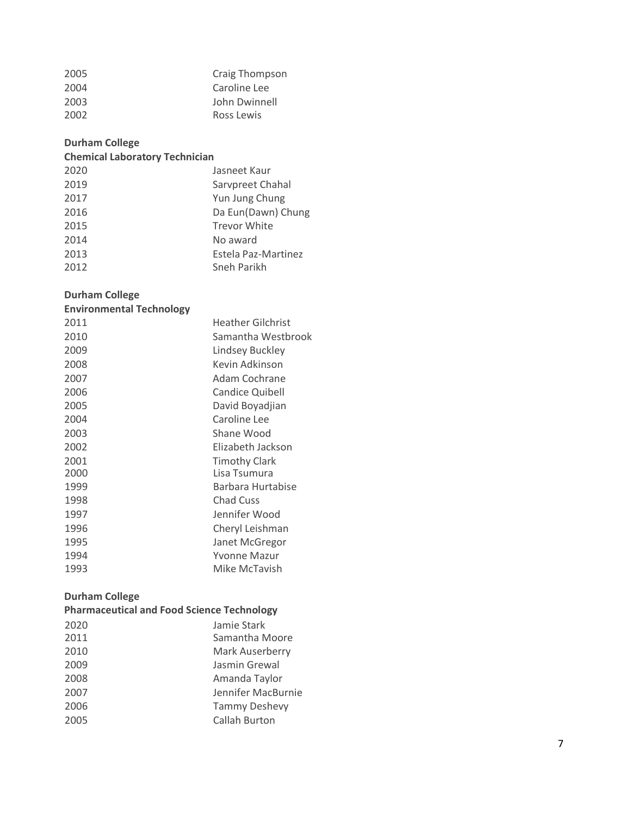| Craig Thompson |
|----------------|
| Caroline Lee   |
| John Dwinnell  |
| Ross Lewis     |
|                |

# **Durham College**

# **Chemical Laboratory Technician**

| 2020 | Jasneet Kaur        |
|------|---------------------|
| 2019 | Sarvpreet Chahal    |
| 2017 | Yun Jung Chung      |
| 2016 | Da Eun(Dawn) Chung  |
| 2015 | <b>Trevor White</b> |
| 2014 | No award            |
| 2013 | Estela Paz-Martinez |
| 2012 | Sneh Parikh         |

### **Durham College**

| <b>Environmental Technology</b> |                          |
|---------------------------------|--------------------------|
| 2011                            | <b>Heather Gilchrist</b> |
| 2010                            | Samantha Westbrook       |
| 2009                            | Lindsey Buckley          |
| 2008                            | Kevin Adkinson           |
| 2007                            | Adam Cochrane            |
| 2006                            | <b>Candice Quibell</b>   |
| 2005                            | David Boyadjian          |
| 2004                            | Caroline Lee             |
| 2003                            | Shane Wood               |
| 2002                            | Elizabeth Jackson        |
| 2001                            | <b>Timothy Clark</b>     |
| 2000                            | Lisa Tsumura             |
| 1999                            | Barbara Hurtabise        |
| 1998                            | <b>Chad Cuss</b>         |
| 1997                            | Jennifer Wood            |
| 1996                            | Cheryl Leishman          |
| 1995                            | Janet McGregor           |
| 1994                            | <b>Yvonne Mazur</b>      |
| 1993                            | Mike McTavish            |

# **Durham College**

| <b>Pharmaceutical and Food Science Technology</b> |                      |
|---------------------------------------------------|----------------------|
| 2020                                              | Jamie Stark          |
| 2011                                              | Samantha Moore       |
| 2010                                              | Mark Auserberry      |
| 2009                                              | Jasmin Grewal        |
| 2008                                              | Amanda Taylor        |
| 2007                                              | Jennifer MacBurnie   |
| 2006                                              | <b>Tammy Deshevy</b> |
| 2005                                              | Callah Burton        |
|                                                   |                      |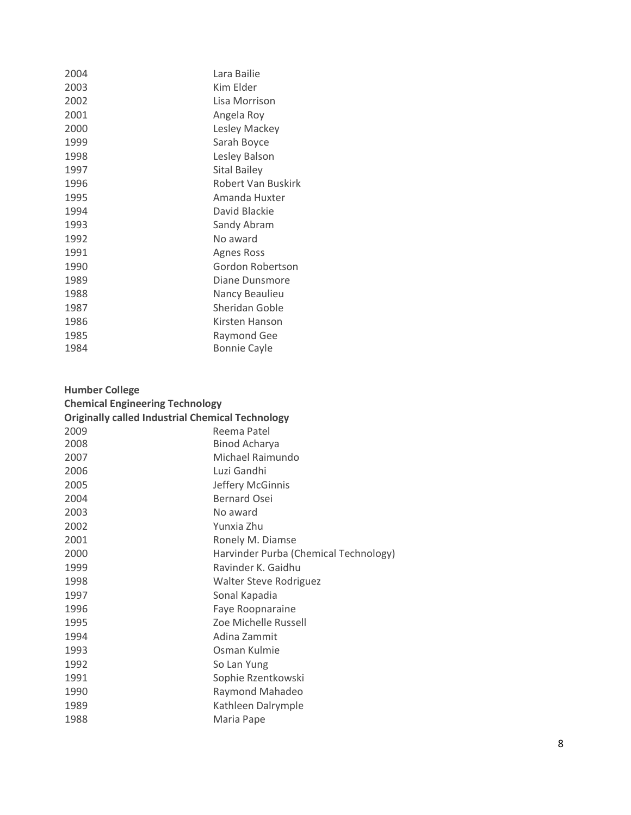| 2004 | Lara Bailie         |
|------|---------------------|
| 2003 | Kim Elder           |
| 2002 | Lisa Morrison       |
| 2001 | Angela Roy          |
| 2000 | Lesley Mackey       |
| 1999 | Sarah Boyce         |
| 1998 | Lesley Balson       |
| 1997 | <b>Sital Bailey</b> |
| 1996 | Robert Van Buskirk  |
| 1995 | Amanda Huxter       |
| 1994 | David Blackie       |
| 1993 | Sandy Abram         |
| 1992 | No award            |
| 1991 | Agnes Ross          |
| 1990 | Gordon Robertson    |
| 1989 | Diane Dunsmore      |
| 1988 | Nancy Beaulieu      |
| 1987 | Sheridan Goble      |
| 1986 | Kirsten Hanson      |
| 1985 | Raymond Gee         |
| 1984 | <b>Bonnie Cayle</b> |
|      |                     |

| <b>Humber College</b>                                   |                                       |  |
|---------------------------------------------------------|---------------------------------------|--|
| <b>Chemical Engineering Technology</b>                  |                                       |  |
| <b>Originally called Industrial Chemical Technology</b> |                                       |  |
| 2009                                                    | Reema Patel                           |  |
| 2008                                                    | <b>Binod Acharya</b>                  |  |
| 2007                                                    | Michael Raimundo                      |  |
| 2006                                                    | Luzi Gandhi                           |  |
| 2005                                                    | Jeffery McGinnis                      |  |
| 2004                                                    | <b>Bernard Osei</b>                   |  |
| 2003                                                    | No award                              |  |
| 2002                                                    | Yunxia Zhu                            |  |
| 2001                                                    | Ronely M. Diamse                      |  |
| 2000                                                    | Harvinder Purba (Chemical Technology) |  |
| 1999                                                    | Ravinder K. Gaidhu                    |  |
| 1998                                                    | <b>Walter Steve Rodriguez</b>         |  |
| 1997                                                    | Sonal Kapadia                         |  |
| 1996                                                    | Faye Roopnaraine                      |  |
| 1995                                                    | Zoe Michelle Russell                  |  |
| 1994                                                    | Adina Zammit                          |  |
| 1993                                                    | Osman Kulmie                          |  |
| 1992                                                    | So Lan Yung                           |  |
| 1991                                                    | Sophie Rzentkowski                    |  |
| 1990                                                    | Raymond Mahadeo                       |  |
| 1989                                                    | Kathleen Dalrymple                    |  |
| 1988                                                    | Maria Pape                            |  |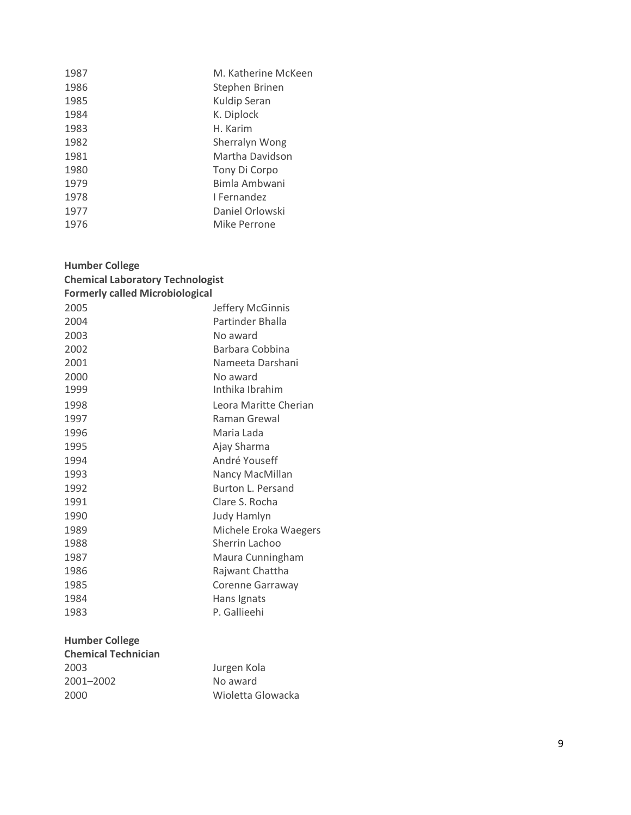| M. Katherine McKeen<br>1987 |  |
|-----------------------------|--|
| 1986<br>Stephen Brinen      |  |
| Kuldip Seran<br>1985        |  |
| K. Diplock<br>1984          |  |
| 1983<br>H. Karim            |  |
| 1982<br>Sherralyn Wong      |  |
| 1981<br>Martha Davidson     |  |
| 1980<br>Tony Di Corpo       |  |
| Bimla Ambwani<br>1979       |  |
| 1978<br>I Fernandez         |  |
| Daniel Orlowski<br>1977     |  |
| 1976<br>Mike Perrone        |  |

| <b>Humber College</b><br><b>Chemical Laboratory Technologist</b><br><b>Formerly called Microbiological</b> |                          |
|------------------------------------------------------------------------------------------------------------|--------------------------|
| 2005                                                                                                       | Jeffery McGinnis         |
| 2004                                                                                                       | Partinder Bhalla         |
| 2003                                                                                                       | No award                 |
| 2002                                                                                                       | Barbara Cobbina          |
| 2001                                                                                                       | Nameeta Darshani         |
| 2000                                                                                                       | No award                 |
| 1999                                                                                                       | Inthika Ibrahim          |
| 1998                                                                                                       | Leora Maritte Cherian    |
| 1997                                                                                                       | Raman Grewal             |
| 1996                                                                                                       | Maria Lada               |
| 1995                                                                                                       | Ajay Sharma              |
| 1994                                                                                                       | André Youseff            |
| 1993                                                                                                       | Nancy MacMillan          |
| 1992                                                                                                       | <b>Burton L. Persand</b> |
| 1991                                                                                                       | Clare S. Rocha           |
| 1990                                                                                                       | <b>Judy Hamlyn</b>       |
| 1989                                                                                                       | Michele Eroka Waegers    |
| 1988                                                                                                       | Sherrin Lachoo           |
| 1987                                                                                                       | Maura Cunningham         |
| 1986                                                                                                       | Rajwant Chattha          |
| 1985                                                                                                       | Corenne Garraway         |
| 1984                                                                                                       | Hans Ignats              |
| 1983                                                                                                       | P. Gallieehi             |
| <b>Humber College</b>                                                                                      |                          |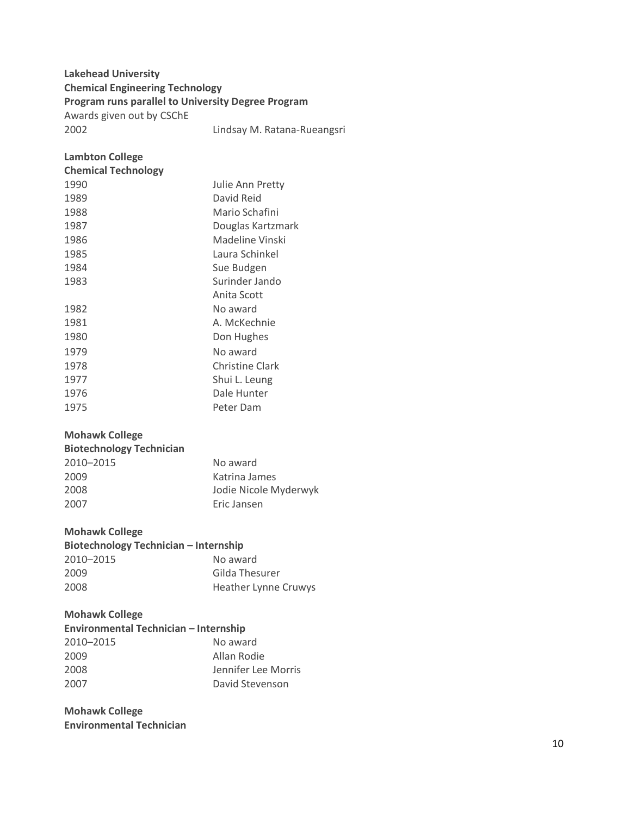#### **Lakehead University Chemical Engineering Technology Program runs parallel to University Degree Program**

Awards given out by CSChE

#### **Lambton College**

| <b>Chemical Technology</b> |                   |
|----------------------------|-------------------|
| 1990                       | Julie Ann Pretty  |
| 1989                       | David Reid        |
| 1988                       | Mario Schafini    |
| 1987                       | Douglas Kartzmark |
| 1986                       | Madeline Vinski   |
| 1985                       | Laura Schinkel    |
| 1984                       | Sue Budgen        |
| 1983                       | Surinder Jando    |
|                            | Anita Scott       |
| 1982                       | No award          |
| 1981                       | A. McKechnie      |
| 1980                       | Don Hughes        |
| 1979                       | No award          |
| 1978                       | Christine Clark   |
| 1977                       | Shui L. Leung     |
| 1976                       | Dale Hunter       |
| 1975                       | Peter Dam         |

#### **Mohawk College**

| No award              |
|-----------------------|
| Katrina James         |
| Jodie Nicole Myderwyk |
| Eric Jansen           |
|                       |

#### **Mohawk College**

# **Biotechnology Technician – Internship** –2015 No award

| 2009 | Gilda Thesurer              |
|------|-----------------------------|
| 2008 | <b>Heather Lynne Cruwys</b> |

#### **Mohawk College**

| Environmental Technician - Internship |                     |
|---------------------------------------|---------------------|
| 2010-2015                             | No award            |
| 2009                                  | Allan Rodie         |
| 2008                                  | Jennifer Lee Morris |
| 2007                                  | David Stevenson     |

#### **Mohawk College Environmental Technician**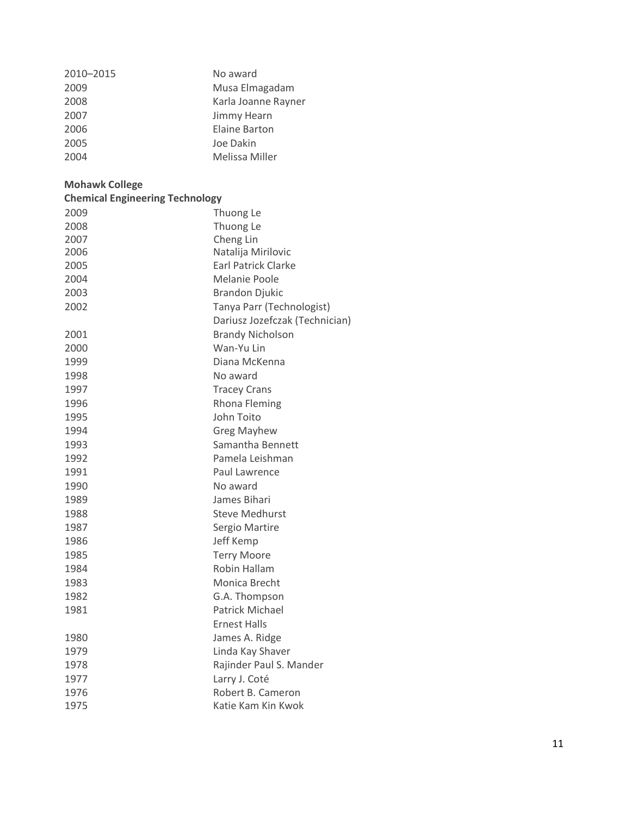| 2010-2015 | No award            |
|-----------|---------------------|
| 2009      | Musa Elmagadam      |
| 2008      | Karla Joanne Rayner |
| 2007      | Jimmy Hearn         |
| 2006      | Elaine Barton       |
| 2005      | Joe Dakin           |
| 2004      | Melissa Miller      |

# **Mohawk College**

| <b>Chemical Engineering Technology</b> |                                |  |
|----------------------------------------|--------------------------------|--|
| 2009                                   | Thuong Le                      |  |
| 2008                                   | Thuong Le                      |  |
| 2007                                   | Cheng Lin                      |  |
| 2006                                   | Natalija Mirilovic             |  |
| 2005                                   | <b>Earl Patrick Clarke</b>     |  |
| 2004                                   | Melanie Poole                  |  |
| 2003                                   | <b>Brandon Djukic</b>          |  |
| 2002                                   | Tanya Parr (Technologist)      |  |
|                                        | Dariusz Jozefczak (Technician) |  |
| 2001                                   | <b>Brandy Nicholson</b>        |  |
| 2000                                   | Wan-Yu Lin                     |  |
| 1999                                   | Diana McKenna                  |  |
| 1998                                   | No award                       |  |
| 1997                                   | <b>Tracey Crans</b>            |  |
| 1996                                   | <b>Rhona Fleming</b>           |  |
| 1995                                   | John Toito                     |  |
| 1994                                   | <b>Greg Mayhew</b>             |  |
| 1993                                   | Samantha Bennett               |  |
| 1992                                   | Pamela Leishman                |  |
| 1991                                   | Paul Lawrence                  |  |
| 1990                                   | No award                       |  |
| 1989                                   | James Bihari                   |  |
| 1988                                   | <b>Steve Medhurst</b>          |  |
| 1987                                   | Sergio Martire                 |  |
| 1986                                   | Jeff Kemp                      |  |
| 1985                                   | <b>Terry Moore</b>             |  |
| 1984                                   | Robin Hallam                   |  |
| 1983                                   | Monica Brecht                  |  |
| 1982                                   | G.A. Thompson                  |  |
| 1981                                   | <b>Patrick Michael</b>         |  |
|                                        | <b>Ernest Halls</b>            |  |
| 1980                                   | James A. Ridge                 |  |
| 1979                                   | Linda Kay Shaver               |  |
| 1978                                   | Rajinder Paul S. Mander        |  |
| 1977                                   | Larry J. Coté                  |  |
| 1976                                   | Robert B. Cameron              |  |
| 1975                                   | Katie Kam Kin Kwok             |  |
|                                        |                                |  |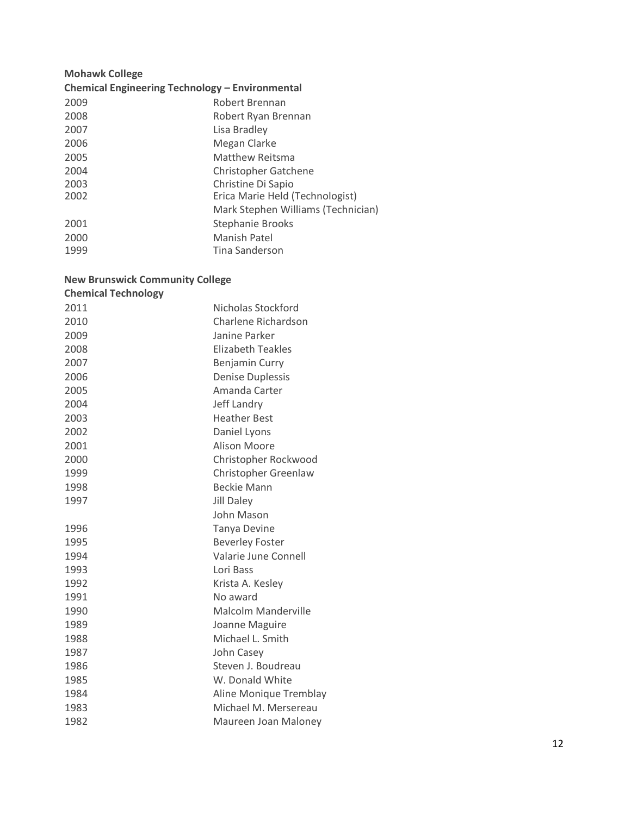| <b>Mohawk College</b>                           |                                    |  |
|-------------------------------------------------|------------------------------------|--|
| Chemical Engineering Technology - Environmental |                                    |  |
| 2009                                            | Robert Brennan                     |  |
| 2008                                            | Robert Ryan Brennan                |  |
| 2007                                            | Lisa Bradley                       |  |
| 2006                                            | Megan Clarke                       |  |
| 2005                                            | Matthew Reitsma                    |  |
| 2004                                            | <b>Christopher Gatchene</b>        |  |
| 2003                                            | Christine Di Sapio                 |  |
| 2002                                            | Erica Marie Held (Technologist)    |  |
|                                                 | Mark Stephen Williams (Technician) |  |
| 2001                                            | <b>Stephanie Brooks</b>            |  |
| 2000                                            | Manish Patel                       |  |
| 1999                                            | Tina Sanderson                     |  |
|                                                 |                                    |  |

#### **New Brunswick Community College**

| <b>Chemical Technology</b> |                            |
|----------------------------|----------------------------|
| 2011                       | Nicholas Stockford         |
| 2010                       | Charlene Richardson        |
| 2009                       | Janine Parker              |
| 2008                       | Elizabeth Teakles          |
| 2007                       | Benjamin Curry             |
| 2006                       | <b>Denise Duplessis</b>    |
| 2005                       | Amanda Carter              |
| 2004                       | Jeff Landry                |
| 2003                       | <b>Heather Best</b>        |
| 2002                       | Daniel Lyons               |
| 2001                       | <b>Alison Moore</b>        |
| 2000                       | Christopher Rockwood       |
| 1999                       | Christopher Greenlaw       |
| 1998                       | <b>Beckie Mann</b>         |
| 1997                       | <b>Jill Daley</b>          |
|                            | John Mason                 |
| 1996                       | <b>Tanya Devine</b>        |
| 1995                       | <b>Beverley Foster</b>     |
| 1994                       | Valarie June Connell       |
| 1993                       | Lori Bass                  |
| 1992                       | Krista A. Kesley           |
| 1991                       | No award                   |
| 1990                       | <b>Malcolm Manderville</b> |
| 1989                       | Joanne Maguire             |
| 1988                       | Michael L. Smith           |
| 1987                       | John Casey                 |
| 1986                       | Steven J. Boudreau         |
| 1985                       | W. Donald White            |
| 1984                       | Aline Monique Tremblay     |
| 1983                       | Michael M. Mersereau       |
| 1982                       | Maureen Joan Maloney       |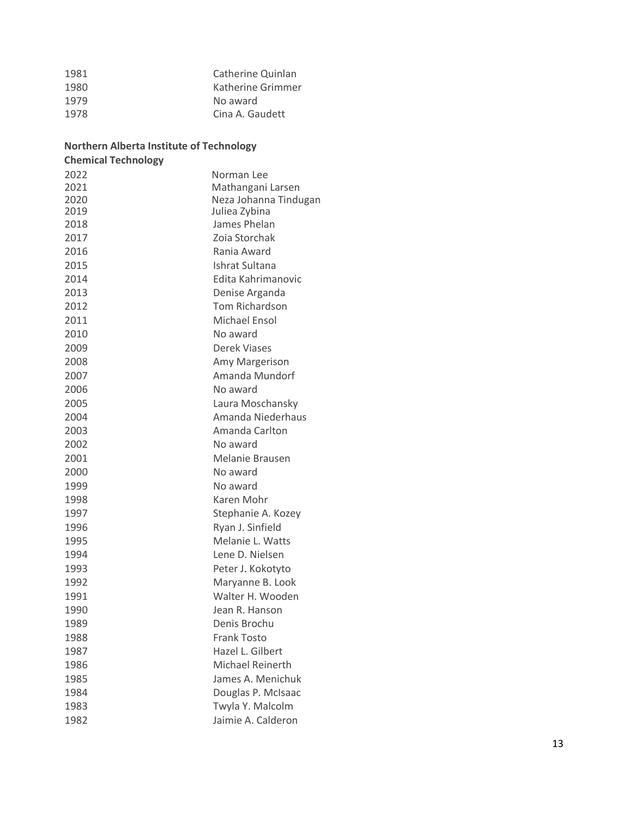| 1981 | Catherine Quinlan |
|------|-------------------|
| 1980 | Katherine Grimmer |
| 1979 | No award          |
| 1978 | Cina A. Gaudett   |
|      |                   |

### **Northern Alberta Institute of Technology**

| <b>Chemical Technology</b> |                         |
|----------------------------|-------------------------|
| 2022                       | Norman Lee              |
| 2021                       | Mathangani Larsen       |
| 2020                       | Neza Johanna Tindugan   |
| 2019                       | Juliea Zybina           |
| 2018                       | James Phelan            |
| 2017                       | Zoia Storchak           |
| 2016                       | Rania Award             |
| 2015                       | Ishrat Sultana          |
| 2014                       | Edita Kahrimanovic      |
| 2013                       | Denise Arganda          |
| 2012                       | <b>Tom Richardson</b>   |
| 2011                       | Michael Ensol           |
| 2010                       | No award                |
| 2009                       | Derek Viases            |
| 2008                       | Amy Margerison          |
| 2007                       | Amanda Mundorf          |
| 2006                       | No award                |
| 2005                       | Laura Moschansky        |
| 2004                       | Amanda Niederhaus       |
| 2003                       | Amanda Carlton          |
| 2002                       | No award                |
| 2001                       | Melanie Brausen         |
| 2000                       | No award                |
| 1999                       | No award                |
| 1998                       | Karen Mohr              |
| 1997                       | Stephanie A. Kozey      |
| 1996                       | Ryan J. Sinfield        |
| 1995                       | Melanie L. Watts        |
| 1994                       | Lene D. Nielsen         |
| 1993                       | Peter J. Kokotyto       |
| 1992                       | Maryanne B. Look        |
| 1991                       | Walter H. Wooden        |
| 1990                       | Jean R. Hanson          |
| 1989                       | Denis Brochu            |
| 1988                       | <b>Frank Tosto</b>      |
| 1987                       | Hazel L. Gilbert        |
| 1986                       | <b>Michael Reinerth</b> |
| 1985                       | James A. Menichuk       |
| 1984                       | Douglas P. McIsaac      |
| 1983                       | Twyla Y. Malcolm        |
| 1982                       | Jaimie A. Calderon      |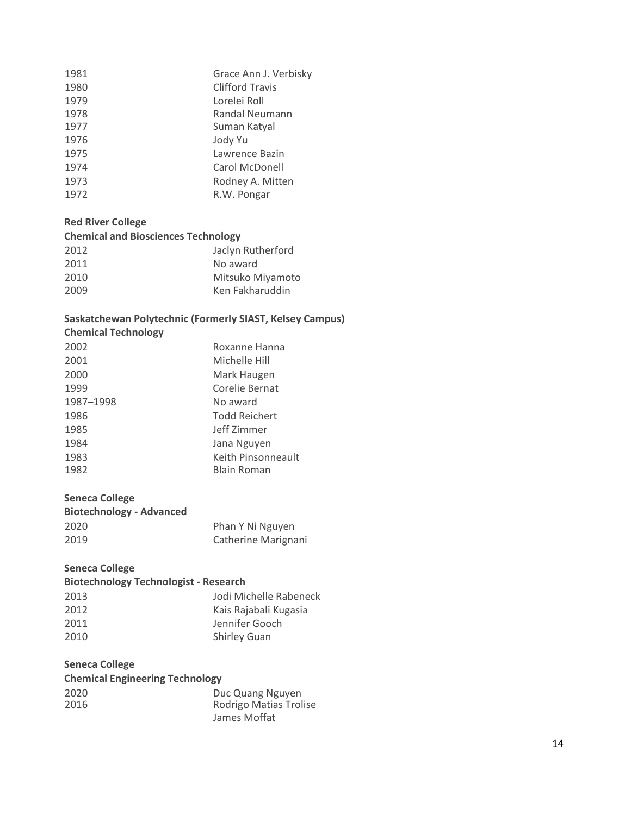| 1981 | Grace Ann J. Verbisky  |
|------|------------------------|
| 1980 | <b>Clifford Travis</b> |
| 1979 | Lorelei Roll           |
| 1978 | Randal Neumann         |
| 1977 | Suman Katyal           |
| 1976 | Jody Yu                |
| 1975 | Lawrence Bazin         |
| 1974 | Carol McDonell         |
| 1973 | Rodney A. Mitten       |
| 1972 | R.W. Pongar            |
|      |                        |

# **Red River College**

### **Chemical and Biosciences Technology**

| 2012 | Jaclyn Rutherford |
|------|-------------------|
| 2011 | No award          |
| 2010 | Mitsuko Miyamoto  |
| 2009 | Ken Fakharuddin   |
|      |                   |

# **Saskatchewan Polytechnic (Formerly SIAST, Kelsey Campus)**

| <b>Chemical Technology</b> |                    |
|----------------------------|--------------------|
| 2002                       | Roxanne Hanna      |
| 2001                       | Michelle Hill      |
| 2000                       | Mark Haugen        |
| 1999                       | Corelie Bernat     |
| 1987-1998                  | No award           |
| 1986                       | Todd Reichert      |
| 1985                       | Jeff Zimmer        |
| 1984                       | Jana Nguyen        |
| 1983                       | Keith Pinsonneault |
| 1982                       | Blain Roman        |
|                            |                    |

#### **Seneca College**

| <b>Biotechnology - Advanced</b> |                     |
|---------------------------------|---------------------|
| 2020                            | Phan Y Ni Nguyen    |
| 2019                            | Catherine Marignani |

# **Seneca College**

| <b>Biotechnology Technologist - Research</b> |                        |
|----------------------------------------------|------------------------|
| 2013                                         | Jodi Michelle Rabeneck |
| 2012                                         | Kais Rajabali Kugasia  |
| 2011                                         | Jennifer Gooch         |
| 2010                                         | <b>Shirley Guan</b>    |

# **Seneca College**

| <b>Chemical Engineering Technology</b> |                        |
|----------------------------------------|------------------------|
| 2020                                   | Duc Quang Nguyen       |
| 2016                                   | Rodrigo Matias Trolise |
|                                        | James Moffat           |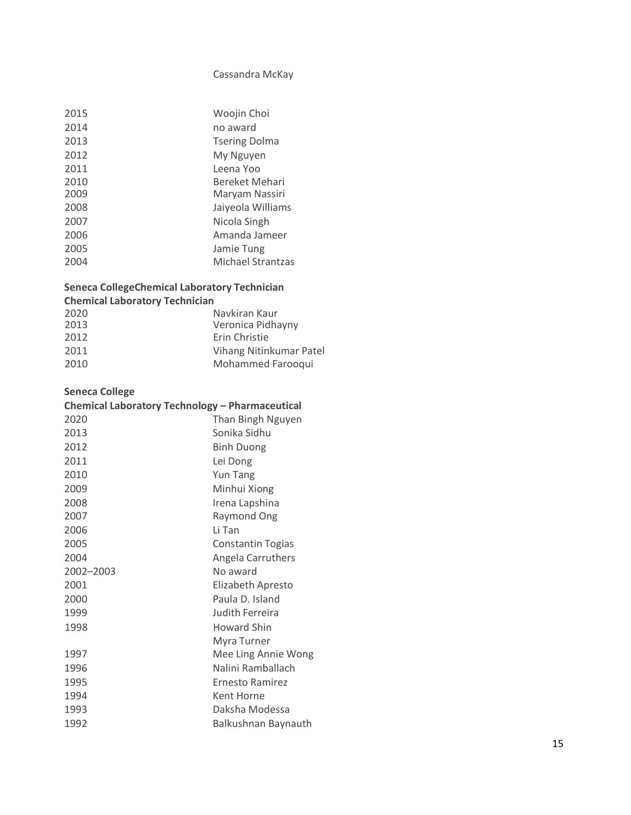### Cassandra McKay

| 2015 | Woojin Choi          |
|------|----------------------|
| 2014 | no award             |
| 2013 | <b>Tsering Dolma</b> |
| 2012 | My Nguyen            |
| 2011 | Leena Yoo            |
| 2010 | Bereket Mehari       |
| 2009 | Maryam Nassiri       |
| 2008 | Jaiyeola Williams    |
| 2007 | Nicola Singh         |
| 2006 | Amanda Jameer        |
| 2005 | Jamie Tung           |
| 2004 | Michael Strantzas    |
|      |                      |

# **Seneca CollegeChemical Laboratory Technician**

# **Chemical Laboratory Technician**

| 2020 | Navkiran Kaur           |
|------|-------------------------|
| 2013 | Veronica Pidhayny       |
| 2012 | Erin Christie           |
| 2011 | Vihang Nitinkumar Patel |
| 2010 | Mohammed Farooqui       |

# **Seneca College**

| Chemical Laboratory Technology - Pharmaceutical |                          |
|-------------------------------------------------|--------------------------|
| 2020                                            | Than Bingh Nguyen        |
| 2013                                            | Sonika Sidhu             |
| 2012                                            | <b>Binh Duong</b>        |
| 2011                                            | Lei Dong                 |
| 2010                                            | <b>Yun Tang</b>          |
| 2009                                            | Minhui Xiong             |
| 2008                                            | Irena Lapshina           |
| 2007                                            | <b>Raymond Ong</b>       |
| 2006                                            | Li Tan                   |
| 2005                                            | <b>Constantin Togias</b> |
| 2004                                            | Angela Carruthers        |
| 2002-2003                                       | No award                 |
| 2001                                            | Elizabeth Apresto        |
| 2000                                            | Paula D. Island          |
| 1999                                            | Judith Ferreira          |
| 1998                                            | <b>Howard Shin</b>       |
|                                                 | Myra Turner              |
| 1997                                            | Mee Ling Annie Wong      |
| 1996                                            | Nalini Ramballach        |
| 1995                                            | Ernesto Ramirez          |
| 1994                                            | Kent Horne               |
| 1993                                            | Daksha Modessa           |
| 1992                                            | Balkushnan Baynauth      |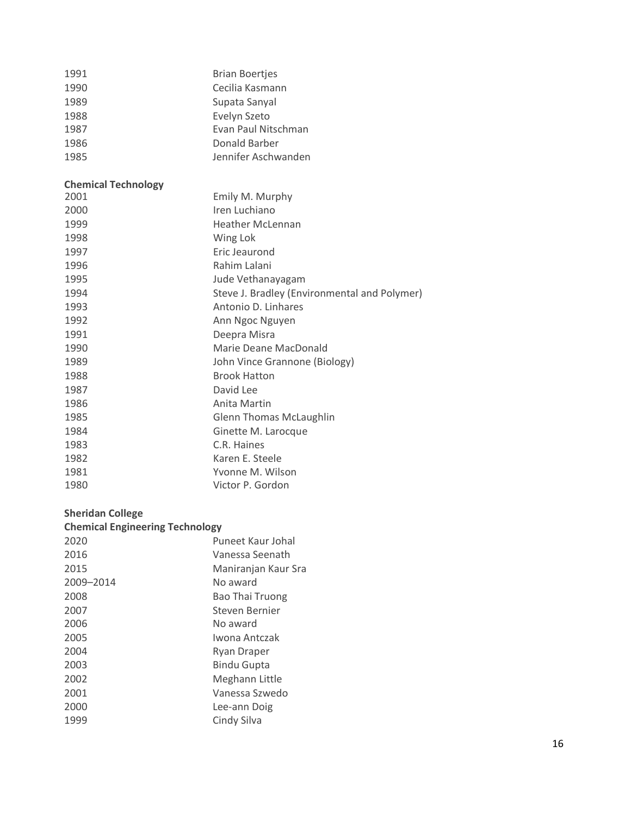| 1991                       | <b>Brian Boertjes</b>                        |
|----------------------------|----------------------------------------------|
| 1990                       | Cecilia Kasmann                              |
| 1989                       | Supata Sanyal                                |
| 1988                       | Evelyn Szeto                                 |
| 1987                       | Evan Paul Nitschman                          |
| 1986                       | Donald Barber                                |
| 1985                       | Jennifer Aschwanden                          |
| <b>Chemical Technology</b> |                                              |
| 2001                       | Emily M. Murphy                              |
| 2000                       | Iren Luchiano                                |
| 1999                       | <b>Heather McLennan</b>                      |
| 1998                       | Wing Lok                                     |
| 1997                       | Eric Jeaurond                                |
| 1996                       | Rahim Lalani                                 |
| 1995                       | Jude Vethanayagam                            |
| 1994                       | Steve J. Bradley (Environmental and Polymer) |
| 1993                       | Antonio D. Linhares                          |
| 1992                       | Ann Ngoc Nguyen                              |
| 1991                       | Deepra Misra                                 |
| 1990                       | Marie Deane MacDonald                        |
| 1989                       | John Vince Grannone (Biology)                |
| 1988                       | <b>Brook Hatton</b>                          |
| 1987                       | David Lee                                    |

#### **Sheridan College**

| <b>Chemical Engineering Technology</b> |                        |  |
|----------------------------------------|------------------------|--|
| 2020                                   | Puneet Kaur Johal      |  |
| 2016                                   | Vanessa Seenath        |  |
| 2015                                   | Maniranjan Kaur Sra    |  |
| 2009-2014                              | No award               |  |
| 2008                                   | <b>Bao Thai Truong</b> |  |
| 2007                                   | Steven Bernier         |  |
| 2006                                   | No award               |  |
| 2005                                   | Iwona Antczak          |  |
| 2004                                   | Ryan Draper            |  |
| 2003                                   | <b>Bindu Gupta</b>     |  |
| 2002                                   | Meghann Little         |  |
| 2001                                   | Vanessa Szwedo         |  |
| 2000                                   | Lee-ann Doig           |  |
| 1999                                   | Cindy Silva            |  |

**Anita Martin** 

 C.R. Haines Karen E. Steele

1981 Yvonne M. Wilson<br>1980 Yictor P. Gordon

1985 **Glenn Thomas McLaughlin**<br>1984 **Ginette M. Larocque** 

Ginette M. Larocque

Victor P. Gordon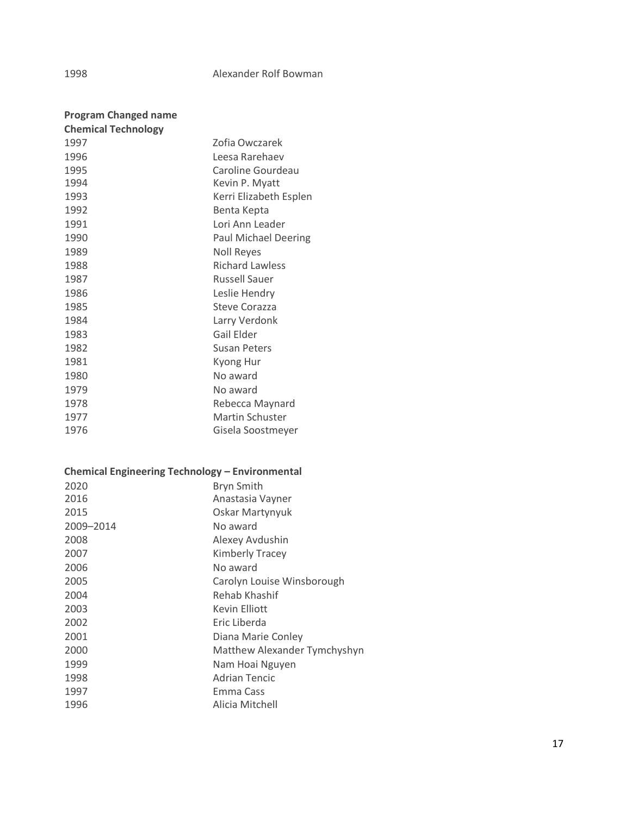#### Alexander Rolf Bowman

| <b>Program Changed name</b> |                             |
|-----------------------------|-----------------------------|
| <b>Chemical Technology</b>  |                             |
| 1997                        | Zofia Owczarek              |
| 1996                        | Leesa Rarehaev              |
| 1995                        | Caroline Gourdeau           |
| 1994                        | Kevin P. Myatt              |
| 1993                        | Kerri Elizabeth Esplen      |
| 1992                        | Benta Kepta                 |
| 1991                        | Lori Ann Leader             |
| 1990                        | <b>Paul Michael Deering</b> |
| 1989                        | <b>Noll Reyes</b>           |
| 1988                        | <b>Richard Lawless</b>      |
| 1987                        | <b>Russell Sauer</b>        |
| 1986                        | Leslie Hendry               |
| 1985                        | Steve Corazza               |
| 1984                        | Larry Verdonk               |
| 1983                        | Gail Elder                  |
| 1982                        | <b>Susan Peters</b>         |
| 1981                        | Kyong Hur                   |
| 1980                        | No award                    |
| 1979                        | No award                    |
| 1978                        | Rebecca Maynard             |
| 1977                        | <b>Martin Schuster</b>      |
| 1976                        | Gisela Soostmeyer           |

# **Chemical Engineering Technology – Environmental**

| 2020      | <b>Bryn Smith</b>            |
|-----------|------------------------------|
| 2016      | Anastasia Vayner             |
| 2015      | Oskar Martynyuk              |
| 2009-2014 | No award                     |
| 2008      | Alexey Avdushin              |
| 2007      | <b>Kimberly Tracey</b>       |
| 2006      | No award                     |
| 2005      | Carolyn Louise Winsborough   |
| 2004      | Rehab Khashif                |
| 2003      | <b>Kevin Elliott</b>         |
| 2002      | Eric Liberda                 |
| 2001      | Diana Marie Conley           |
| 2000      | Matthew Alexander Tymchyshyn |
| 1999      | Nam Hoai Nguyen              |
| 1998      | <b>Adrian Tencic</b>         |
| 1997      | Emma Cass                    |
| 1996      | Alicia Mitchell              |
|           |                              |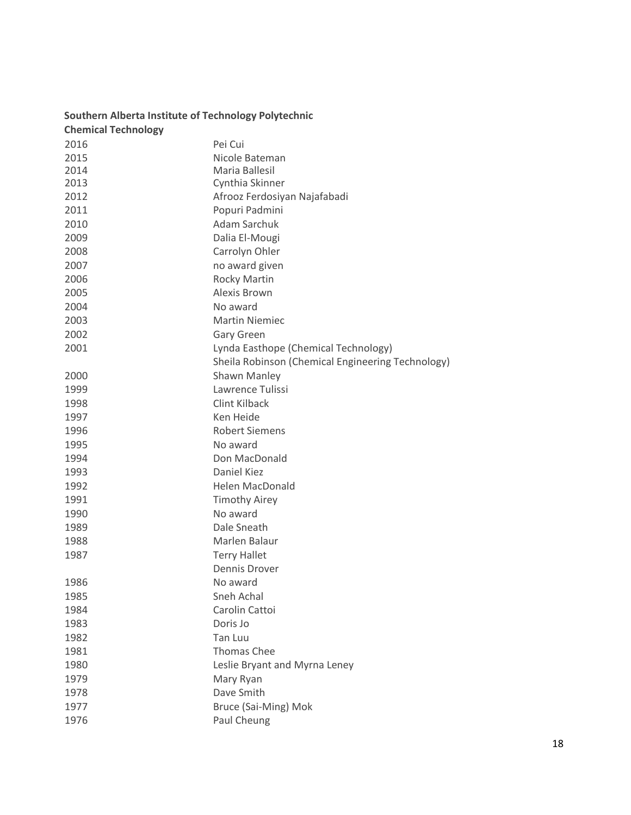| <b>Chemical Technology</b> |                                                   |
|----------------------------|---------------------------------------------------|
| 2016                       | Pei Cui                                           |
| 2015                       | Nicole Bateman                                    |
| 2014                       | Maria Ballesil                                    |
| 2013                       | Cynthia Skinner                                   |
| 2012                       | Afrooz Ferdosiyan Najafabadi                      |
| 2011                       | Popuri Padmini                                    |
| 2010                       | <b>Adam Sarchuk</b>                               |
| 2009                       | Dalia El-Mougi                                    |
| 2008                       | Carrolyn Ohler                                    |
| 2007                       | no award given                                    |
| 2006                       | <b>Rocky Martin</b>                               |
| 2005                       | Alexis Brown                                      |
| 2004                       | No award                                          |
| 2003                       | <b>Martin Niemiec</b>                             |
| 2002                       | <b>Gary Green</b>                                 |
| 2001                       | Lynda Easthope (Chemical Technology)              |
|                            | Sheila Robinson (Chemical Engineering Technology) |
| 2000                       | Shawn Manley                                      |
| 1999                       | Lawrence Tulissi                                  |
| 1998                       | <b>Clint Kilback</b>                              |
| 1997                       | Ken Heide                                         |
| 1996                       | <b>Robert Siemens</b>                             |
| 1995                       | No award                                          |
| 1994                       | Don MacDonald                                     |
| 1993                       | Daniel Kiez                                       |
| 1992                       | Helen MacDonald                                   |
| 1991                       | <b>Timothy Airey</b>                              |
| 1990                       | No award                                          |
| 1989                       | Dale Sneath                                       |
| 1988                       | Marlen Balaur                                     |
| 1987                       | <b>Terry Hallet</b>                               |
|                            | Dennis Drover                                     |
| 1986                       | No award                                          |
| 1985                       | Sneh Achal                                        |
| 1984                       | Carolin Cattoi                                    |
| 1983                       | Doris Jo                                          |
| 1982                       | <b>Tan Luu</b>                                    |
| 1981                       | <b>Thomas Chee</b>                                |
| 1980                       | Leslie Bryant and Myrna Leney                     |
| 1979                       | Mary Ryan                                         |
| 1978                       | Dave Smith                                        |
| 1977                       | Bruce (Sai-Ming) Mok                              |
| 1976                       | Paul Cheung                                       |

# **Southern Alberta Institute of Technology Polytechnic**